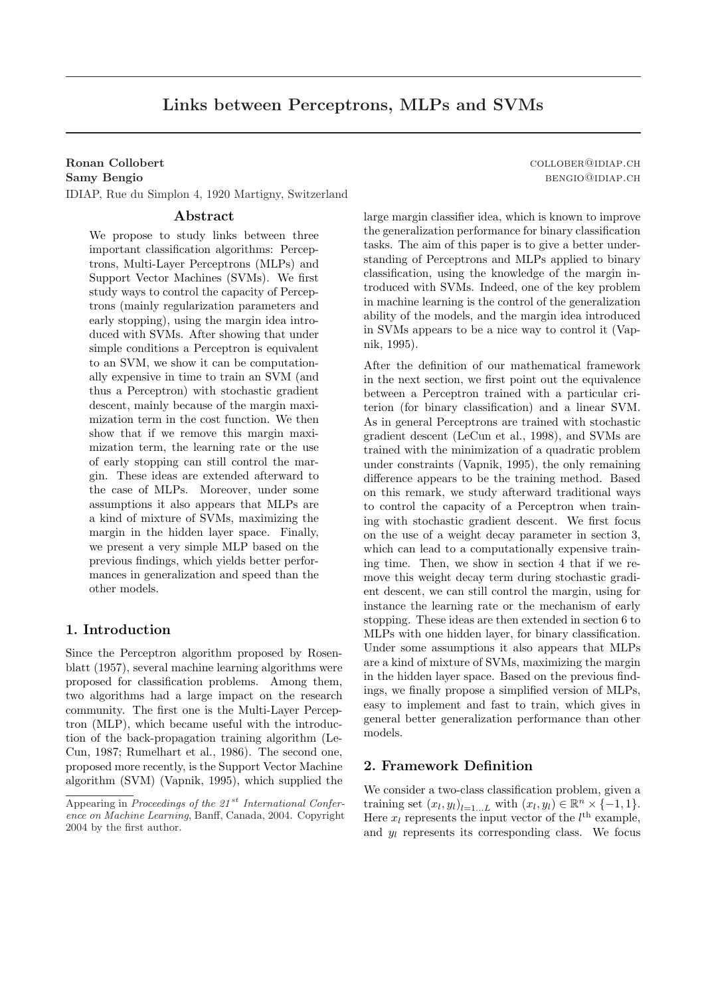## Links between Perceptrons, MLPs and SVMs

# Ronan Collobert **collobert** compared by the collobert collobert collobert containing  $\alpha$  collobert containing  $\alpha$

IDIAP, Rue du Simplon 4, 1920 Martigny, Switzerland

## Abstract

We propose to study links between three important classification algorithms: Perceptrons, Multi-Layer Perceptrons (MLPs) and Support Vector Machines (SVMs). We first study ways to control the capacity of Perceptrons (mainly regularization parameters and early stopping), using the margin idea introduced with SVMs. After showing that under simple conditions a Perceptron is equivalent to an SVM, we show it can be computationally expensive in time to train an SVM (and thus a Perceptron) with stochastic gradient descent, mainly because of the margin maximization term in the cost function. We then show that if we remove this margin maximization term, the learning rate or the use of early stopping can still control the margin. These ideas are extended afterward to the case of MLPs. Moreover, under some assumptions it also appears that MLPs are a kind of mixture of SVMs, maximizing the margin in the hidden layer space. Finally, we present a very simple MLP based on the previous findings, which yields better performances in generalization and speed than the other models.

## 1. Introduction

Since the Perceptron algorithm proposed by Rosenblatt (1957), several machine learning algorithms were proposed for classification problems. Among them, two algorithms had a large impact on the research community. The first one is the Multi-Layer Perceptron (MLP), which became useful with the introduction of the back-propagation training algorithm (Le-Cun, 1987; Rumelhart et al., 1986). The second one, proposed more recently, is the Support Vector Machine algorithm (SVM) (Vapnik, 1995), which supplied the

Samy Bengio benging benging benging benging benging benging benging benging benging benging benging benging ben

large margin classifier idea, which is known to improve the generalization performance for binary classification tasks. The aim of this paper is to give a better understanding of Perceptrons and MLPs applied to binary classification, using the knowledge of the margin introduced with SVMs. Indeed, one of the key problem in machine learning is the control of the generalization ability of the models, and the margin idea introduced in SVMs appears to be a nice way to control it (Vapnik, 1995).

After the definition of our mathematical framework in the next section, we first point out the equivalence between a Perceptron trained with a particular criterion (for binary classification) and a linear SVM. As in general Perceptrons are trained with stochastic gradient descent (LeCun et al., 1998), and SVMs are trained with the minimization of a quadratic problem under constraints (Vapnik, 1995), the only remaining difference appears to be the training method. Based on this remark, we study afterward traditional ways to control the capacity of a Perceptron when training with stochastic gradient descent. We first focus on the use of a weight decay parameter in section 3, which can lead to a computationally expensive training time. Then, we show in section 4 that if we remove this weight decay term during stochastic gradient descent, we can still control the margin, using for instance the learning rate or the mechanism of early stopping. These ideas are then extended in section 6 to MLPs with one hidden layer, for binary classification. Under some assumptions it also appears that MLPs are a kind of mixture of SVMs, maximizing the margin in the hidden layer space. Based on the previous findings, we finally propose a simplified version of MLPs, easy to implement and fast to train, which gives in general better generalization performance than other models.

## 2. Framework Definition

We consider a two-class classification problem, given a training set  $(x_l, y_l)_{l=1...L}$  with  $(x_l, y_l) \in \mathbb{R}^n \times \{-1, 1\}.$ Here  $x_l$  represents the input vector of the  $l<sup>th</sup>$  example, and  $y_l$  represents its corresponding class. We focus

Appearing in Proceedings of the  $21^{st}$  International Conference on Machine Learning, Banff, Canada, 2004. Copyright 2004 by the first author.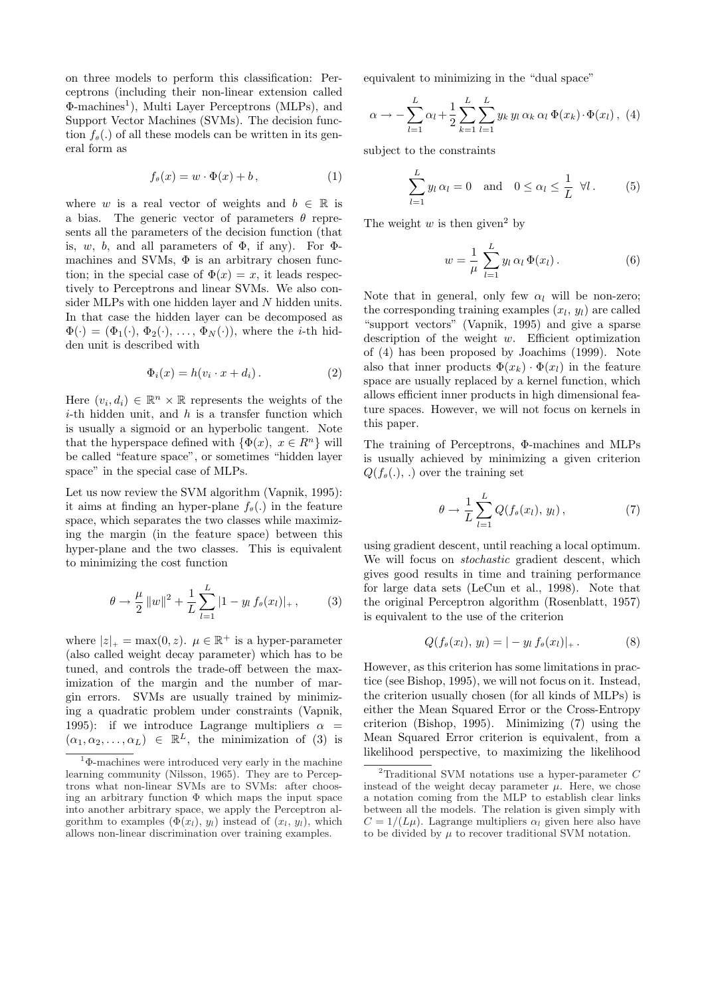on three models to perform this classification: Perceptrons (including their non-linear extension called Φ-machines<sup>1</sup> ), Multi Layer Perceptrons (MLPs), and Support Vector Machines (SVMs). The decision function  $f_{\theta}(.)$  of all these models can be written in its general form as

$$
f_{\theta}(x) = w \cdot \Phi(x) + b, \qquad (1)
$$

where w is a real vector of weights and  $b \in \mathbb{R}$  is a bias. The generic vector of parameters  $\theta$  represents all the parameters of the decision function (that is, w, b, and all parameters of  $\Phi$ , if any). For  $\Phi$ machines and SVMs,  $\Phi$  is an arbitrary chosen function; in the special case of  $\Phi(x) = x$ , it leads respectively to Perceptrons and linear SVMs. We also consider MLPs with one hidden layer and N hidden units. In that case the hidden layer can be decomposed as  $\Phi(\cdot) = (\Phi_1(\cdot), \Phi_2(\cdot), \ldots, \Phi_N(\cdot)),$  where the *i*-th hidden unit is described with

$$
\Phi_i(x) = h(v_i \cdot x + d_i). \tag{2}
$$

Here  $(v_i, d_i) \in \mathbb{R}^n \times \mathbb{R}$  represents the weights of the *i*-th hidden unit, and  $h$  is a transfer function which is usually a sigmoid or an hyperbolic tangent. Note that the hyperspace defined with  $\{\Phi(x), x \in \mathbb{R}^n\}$  will be called "feature space", or sometimes "hidden layer space" in the special case of MLPs.

Let us now review the SVM algorithm (Vapnik, 1995): it aims at finding an hyper-plane  $f_{\theta}$ .) in the feature space, which separates the two classes while maximizing the margin (in the feature space) between this hyper-plane and the two classes. This is equivalent to minimizing the cost function

$$
\theta \to \frac{\mu}{2} \|w\|^2 + \frac{1}{L} \sum_{l=1}^L |1 - y_l f_{\theta}(x_l)|_+, \qquad (3)
$$

where  $|z|_+ = \max(0, z)$ .  $\mu \in \mathbb{R}^+$  is a hyper-parameter (also called weight decay parameter) which has to be tuned, and controls the trade-off between the maximization of the margin and the number of margin errors. SVMs are usually trained by minimizing a quadratic problem under constraints (Vapnik, 1995): if we introduce Lagrange multipliers  $\alpha$  =  $(\alpha_1, \alpha_2, \ldots, \alpha_L) \in \mathbb{R}^L$ , the minimization of (3) is

equivalent to minimizing in the "dual space"

$$
\alpha \to -\sum_{l=1}^{L} \alpha_l + \frac{1}{2} \sum_{k=1}^{L} \sum_{l=1}^{L} y_k y_l \alpha_k \alpha_l \Phi(x_k) \cdot \Phi(x_l), \tag{4}
$$

subject to the constraints

$$
\sum_{l=1}^{L} y_l \alpha_l = 0 \quad \text{and} \quad 0 \le \alpha_l \le \frac{1}{L} \quad \forall l. \tag{5}
$$

The weight  $w$  is then given<sup>2</sup> by

$$
w = \frac{1}{\mu} \sum_{l=1}^{L} y_l \alpha_l \Phi(x_l).
$$
 (6)

Note that in general, only few  $\alpha_l$  will be non-zero; the corresponding training examples  $(x_l, y_l)$  are called "support vectors" (Vapnik, 1995) and give a sparse description of the weight  $w$ . Efficient optimization of (4) has been proposed by Joachims (1999). Note also that inner products  $\Phi(x_k) \cdot \Phi(x_l)$  in the feature space are usually replaced by a kernel function, which allows efficient inner products in high dimensional feature spaces. However, we will not focus on kernels in this paper.

The training of Perceptrons, Φ-machines and MLPs is usually achieved by minimizing a given criterion  $Q(f_{\theta}(.)\, , .)$  over the training set

$$
\theta \to \frac{1}{L} \sum_{l=1}^{L} Q(f_{\theta}(x_l), y_l), \qquad (7)
$$

using gradient descent, until reaching a local optimum. We will focus on *stochastic* gradient descent, which gives good results in time and training performance for large data sets (LeCun et al., 1998). Note that the original Perceptron algorithm (Rosenblatt, 1957) is equivalent to the use of the criterion

$$
Q(f_{\theta}(x_l), y_l) = |-y_l f_{\theta}(x_l)|_{+}.
$$
 (8)

However, as this criterion has some limitations in practice (see Bishop, 1995), we will not focus on it. Instead, the criterion usually chosen (for all kinds of MLPs) is either the Mean Squared Error or the Cross-Entropy criterion (Bishop, 1995). Minimizing (7) using the Mean Squared Error criterion is equivalent, from a likelihood perspective, to maximizing the likelihood

 $^1\Phi\text{-}$  machines were introduced very early in the machine learning community (Nilsson, 1965). They are to Perceptrons what non-linear SVMs are to SVMs: after choosing an arbitrary function  $\Phi$  which maps the input space into another arbitrary space, we apply the Perceptron algorithm to examples  $(\Phi(x_l), y_l)$  instead of  $(x_l, y_l)$ , which allows non-linear discrimination over training examples.

<sup>&</sup>lt;sup>2</sup>Traditional SVM notations use a hyper-parameter  $C$ instead of the weight decay parameter  $\mu$ . Here, we chose a notation coming from the MLP to establish clear links between all the models. The relation is given simply with  $C = 1/(L\mu)$ . Lagrange multipliers  $\alpha_l$  given here also have to be divided by  $\mu$  to recover traditional SVM notation.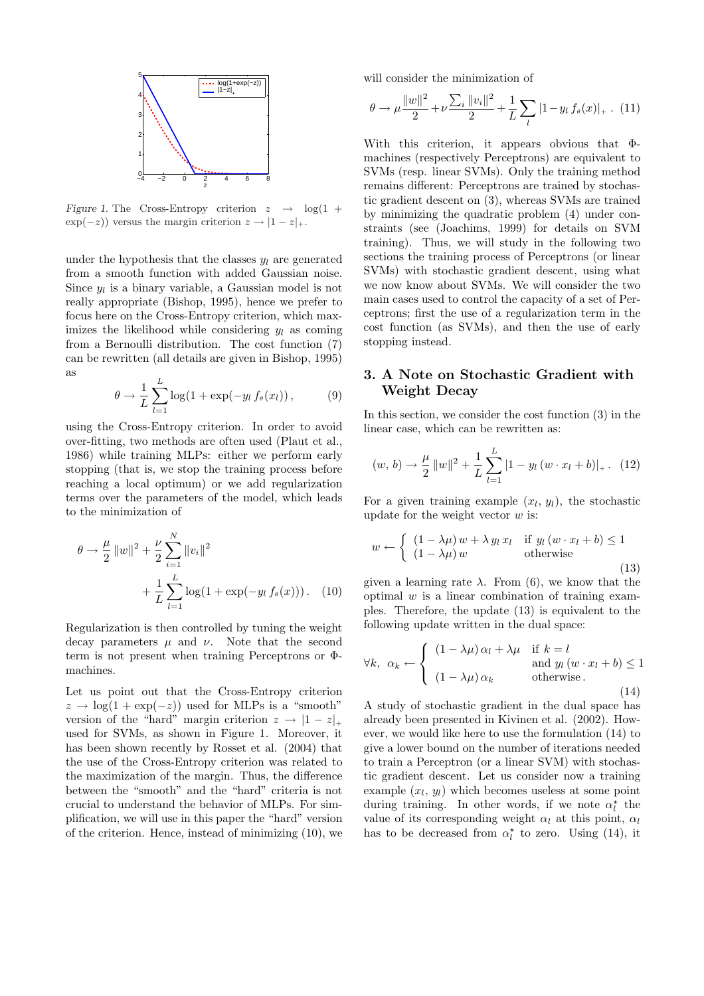

Figure 1. The Cross-Entropy criterion  $z \rightarrow \log(1 +$  $\exp(-z)$ ) versus the margin criterion  $z \to |1-z|_+$ .

under the hypothesis that the classes  $y_l$  are generated from a smooth function with added Gaussian noise. Since  $y_l$  is a binary variable, a Gaussian model is not really appropriate (Bishop, 1995), hence we prefer to focus here on the Cross-Entropy criterion, which maximizes the likelihood while considering  $y_l$  as coming from a Bernoulli distribution. The cost function (7) can be rewritten (all details are given in Bishop, 1995) as

$$
\theta \to \frac{1}{L} \sum_{l=1}^{L} \log(1 + \exp(-y_l f_{\theta}(x_l)), \qquad (9)
$$

using the Cross-Entropy criterion. In order to avoid over-fitting, two methods are often used (Plaut et al., 1986) while training MLPs: either we perform early stopping (that is, we stop the training process before reaching a local optimum) or we add regularization terms over the parameters of the model, which leads to the minimization of

$$
\theta \to \frac{\mu}{2} \|w\|^2 + \frac{\nu}{2} \sum_{i=1}^N \|v_i\|^2
$$
  
+ 
$$
\frac{1}{L} \sum_{l=1}^L \log(1 + \exp(-y_l f_\theta(x))). \quad (10)
$$

Regularization is then controlled by tuning the weight decay parameters  $\mu$  and  $\nu$ . Note that the second term is not present when training Perceptrons or Φmachines.

Let us point out that the Cross-Entropy criterion  $z \to \log(1 + \exp(-z))$  used for MLPs is a "smooth" version of the "hard" margin criterion  $z \to |1-z|_+$ used for SVMs, as shown in Figure 1. Moreover, it has been shown recently by Rosset et al. (2004) that the use of the Cross-Entropy criterion was related to the maximization of the margin. Thus, the difference between the "smooth" and the "hard" criteria is not crucial to understand the behavior of MLPs. For simplification, we will use in this paper the "hard" version of the criterion. Hence, instead of minimizing (10), we

will consider the minimization of

$$
\theta \to \mu \frac{\|w\|^2}{2} + \nu \frac{\sum_{i} \|v_i\|^2}{2} + \frac{1}{L} \sum_{l} |1 - y_l f_{\theta}(x)|_+ . (11)
$$

With this criterion, it appears obvious that Φmachines (respectively Perceptrons) are equivalent to SVMs (resp. linear SVMs). Only the training method remains different: Perceptrons are trained by stochastic gradient descent on (3), whereas SVMs are trained by minimizing the quadratic problem (4) under constraints (see (Joachims, 1999) for details on SVM training). Thus, we will study in the following two sections the training process of Perceptrons (or linear SVMs) with stochastic gradient descent, using what we now know about SVMs. We will consider the two main cases used to control the capacity of a set of Perceptrons; first the use of a regularization term in the cost function (as SVMs), and then the use of early stopping instead.

## 3. A Note on Stochastic Gradient with Weight Decay

In this section, we consider the cost function (3) in the linear case, which can be rewritten as:

$$
(w, b) \to \frac{\mu}{2} ||w||^2 + \frac{1}{L} \sum_{l=1}^{L} |1 - y_l (w \cdot x_l + b)|_+ . \tag{12}
$$

For a given training example  $(x_l, y_l)$ , the stochastic update for the weight vector  $w$  is:

$$
w \leftarrow \begin{cases} (1 - \lambda \mu) w + \lambda y_l x_l & \text{if } y_l (w \cdot x_l + b) \le 1 \\ (1 - \lambda \mu) w & \text{otherwise} \end{cases}
$$
(13)

given a learning rate  $\lambda$ . From (6), we know that the optimal  $w$  is a linear combination of training examples. Therefore, the update (13) is equivalent to the following update written in the dual space:

$$
\forall k, \ \alpha_k \leftarrow \begin{cases} (1 - \lambda \mu) \alpha_l + \lambda \mu & \text{if } k = l \\ \text{and } y_l \left( w \cdot x_l + b \right) \le 1 \\ (1 - \lambda \mu) \alpha_k & \text{otherwise.} \end{cases}
$$
 (14)

A study of stochastic gradient in the dual space has already been presented in Kivinen et al. (2002). However, we would like here to use the formulation (14) to give a lower bound on the number of iterations needed to train a Perceptron (or a linear SVM) with stochastic gradient descent. Let us consider now a training example  $(x_l, y_l)$  which becomes useless at some point during training. In other words, if we note  $\alpha_l^*$  the value of its corresponding weight  $\alpha_l$  at this point,  $\alpha_l$ has to be decreased from  $\alpha_l^*$  to zero. Using (14), it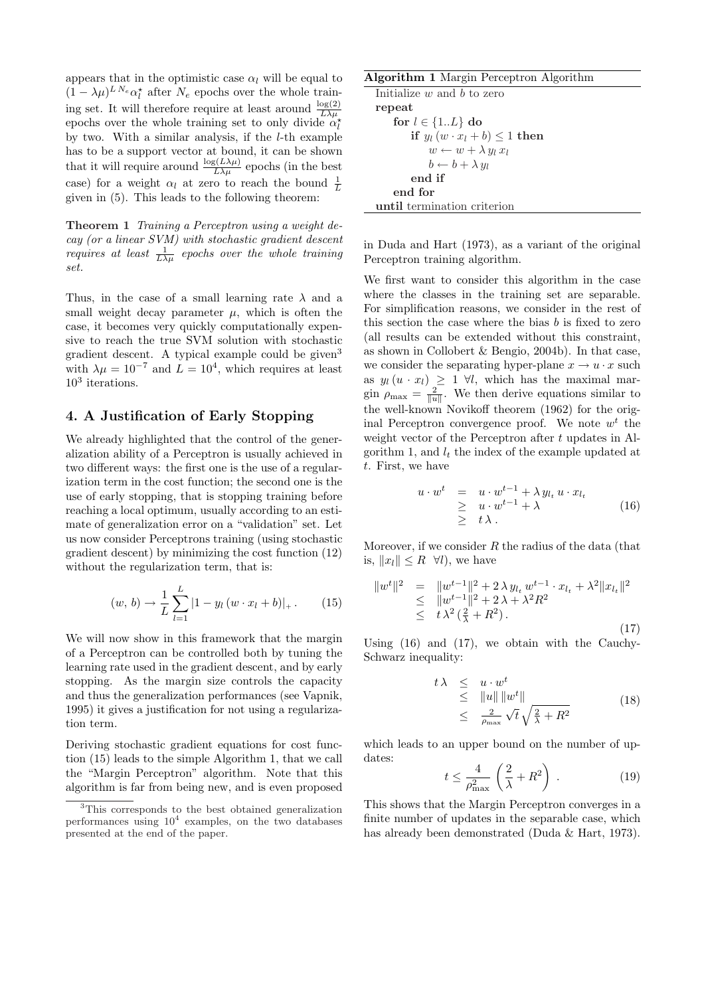appears that in the optimistic case  $\alpha_l$  will be equal to  $(1 - \lambda \mu)^{LN_e} \alpha_l^*$  after  $N_e$  epochs over the whole training set. It will therefore require at least around  $\frac{\log(2)}{L\lambda\mu}$ <br>epochs over the whole training set to only divide  $\alpha_l^*$ by two. With a similar analysis, if the l-th example has to be a support vector at bound, it can be shown that it will require around  $\frac{\log(L\lambda\mu)}{L\lambda\mu}$  epochs (in the best case) for a weight  $\alpha_l$  at zero to reach the bound  $\frac{1}{L}$ given in (5). This leads to the following theorem:

Theorem 1 Training a Perceptron using a weight decay (or a linear SVM) with stochastic gradient descent requires at least  $\frac{1}{L\lambda\mu}$  epochs over the whole training set.

Thus, in the case of a small learning rate  $\lambda$  and a small weight decay parameter  $\mu$ , which is often the case, it becomes very quickly computationally expensive to reach the true SVM solution with stochastic gradient descent. A typical example could be given<sup>3</sup> with  $\lambda \mu = 10^{-7}$  and  $L = 10^{4}$ , which requires at least  $10^3$  iterations.

## 4. A Justification of Early Stopping

We already highlighted that the control of the generalization ability of a Perceptron is usually achieved in two different ways: the first one is the use of a regularization term in the cost function; the second one is the use of early stopping, that is stopping training before reaching a local optimum, usually according to an estimate of generalization error on a "validation" set. Let us now consider Perceptrons training (using stochastic gradient descent) by minimizing the cost function (12) without the regularization term, that is:

$$
(w, b) \to \frac{1}{L} \sum_{l=1}^{L} |1 - y_l (w \cdot x_l + b)|_+.
$$
 (15)

We will now show in this framework that the margin of a Perceptron can be controlled both by tuning the learning rate used in the gradient descent, and by early stopping. As the margin size controls the capacity and thus the generalization performances (see Vapnik, 1995) it gives a justification for not using a regularization term.

Deriving stochastic gradient equations for cost function (15) leads to the simple Algorithm 1, that we call the "Margin Perceptron" algorithm. Note that this algorithm is far from being new, and is even proposed

#### Algorithm 1 Margin Perceptron Algorithm

| Initialize $w$ and $b$ to zero        |
|---------------------------------------|
| repeat                                |
| for $l \in \{1L\}$ do                 |
| if $y_l(w \cdot x_l + b) \leq 1$ then |
| $w \leftarrow w + \lambda y_l x_l$    |
| $b \leftarrow b + \lambda y_l$        |
| end if                                |
| end for                               |
| until termination criterion           |

in Duda and Hart (1973), as a variant of the original Perceptron training algorithm.

We first want to consider this algorithm in the case where the classes in the training set are separable. For simplification reasons, we consider in the rest of this section the case where the bias  $b$  is fixed to zero (all results can be extended without this constraint, as shown in Collobert & Bengio, 2004b). In that case, we consider the separating hyper-plane  $x \to u \cdot x$  such as  $y_l (u \cdot x_l) \geq 1 \forall l$ , which has the maximal margin  $\rho_{\text{max}} = \frac{2}{\|u\|}$ . We then derive equations similar to the well-known Novikoff theorem (1962) for the original Perceptron convergence proof. We note  $w<sup>t</sup>$  the weight vector of the Perceptron after  $t$  updates in Algorithm 1, and  $l_t$  the index of the example updated at t. First, we have

$$
u \cdot w^{t} = u \cdot w^{t-1} + \lambda y_{l_t} u \cdot x_{l_t}
$$
  
\n
$$
\geq u \cdot w^{t-1} + \lambda
$$
  
\n
$$
\geq t \lambda.
$$
 (16)

Moreover, if we consider  $R$  the radius of the data (that is,  $||x_l|| \leq R \ \forall l$ , we have

$$
||w^{t}||^{2} = ||w^{t-1}||^{2} + 2 \lambda y_{l_{t}} w^{t-1} \cdot x_{l_{t}} + \lambda^{2} ||x_{l_{t}}||^{2}
$$
  
\n
$$
\leq ||w^{t-1}||^{2} + 2 \lambda + \lambda^{2} R^{2}
$$
  
\n
$$
\leq t \lambda^{2} (\frac{2}{\lambda} + R^{2}).
$$
\n(17)

Using (16) and (17), we obtain with the Cauchy-Schwarz inequality:

$$
t\lambda \leq u \cdot w^{t}
$$
  
\n
$$
\leq \|u\| \|w^{t}\|
$$
  
\n
$$
\leq \frac{2}{\rho_{\max}} \sqrt{t} \sqrt{\frac{2}{\lambda} + R^{2}}
$$
 (18)

which leads to an upper bound on the number of updates:  $\mathbf{r}$ 

$$
t \le \frac{4}{\rho_{\text{max}}^2} \left( \frac{2}{\lambda} + R^2 \right) . \tag{19}
$$

This shows that the Margin Perceptron converges in a finite number of updates in the separable case, which has already been demonstrated (Duda & Hart, 1973).

<sup>3</sup>This corresponds to the best obtained generalization performances using  $10^4$  examples, on the two databases presented at the end of the paper.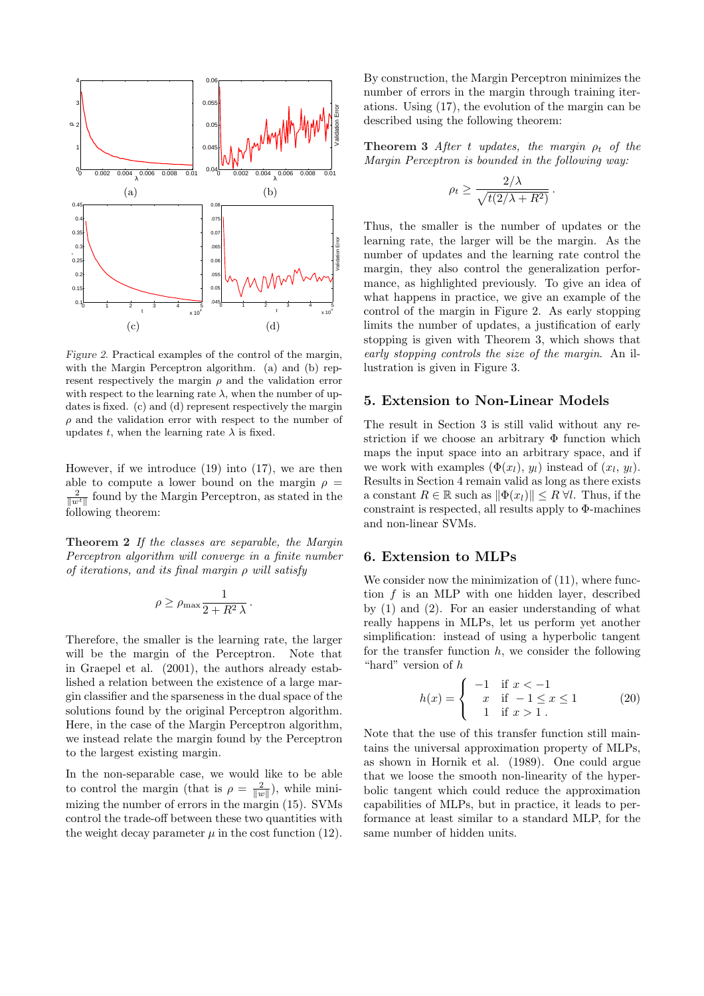

Figure 2. Practical examples of the control of the margin, with the Margin Perceptron algorithm. (a) and (b) represent respectively the margin  $\rho$  and the validation error with respect to the learning rate  $\lambda$ , when the number of updates is fixed. (c) and (d) represent respectively the margin  $\rho$  and the validation error with respect to the number of updates t, when the learning rate  $\lambda$  is fixed.

However, if we introduce (19) into (17), we are then able to compute a lower bound on the margin  $\rho =$  $\frac{2}{\|w^t\|}$  found by the Margin Perceptron, as stated in the following theorem:

Theorem 2 If the classes are separable, the Margin Perceptron algorithm will converge in a finite number of iterations, and its final margin  $\rho$  will satisfy

$$
\rho \geq \rho_{\max} \frac{1}{2+R^2\,\lambda}\,.
$$

Therefore, the smaller is the learning rate, the larger will be the margin of the Perceptron. Note that in Graepel et al. (2001), the authors already established a relation between the existence of a large margin classifier and the sparseness in the dual space of the solutions found by the original Perceptron algorithm. Here, in the case of the Margin Perceptron algorithm, we instead relate the margin found by the Perceptron to the largest existing margin.

In the non-separable case, we would like to be able to control the margin (that is  $\rho = \frac{2}{\|w\|}$ ), while minimizing the number of errors in the margin (15). SVMs control the trade-off between these two quantities with the weight decay parameter  $\mu$  in the cost function (12).

By construction, the Margin Perceptron minimizes the number of errors in the margin through training iterations. Using (17), the evolution of the margin can be described using the following theorem:

**Theorem 3** After t updates, the margin  $\rho_t$  of the Margin Perceptron is bounded in the following way:

$$
\rho_t \ge \frac{2/\lambda}{\sqrt{t(2/\lambda + R^2)}}.
$$

Thus, the smaller is the number of updates or the learning rate, the larger will be the margin. As the number of updates and the learning rate control the margin, they also control the generalization performance, as highlighted previously. To give an idea of what happens in practice, we give an example of the control of the margin in Figure 2. As early stopping limits the number of updates, a justification of early stopping is given with Theorem 3, which shows that early stopping controls the size of the margin. An illustration is given in Figure 3.

## 5. Extension to Non-Linear Models

The result in Section 3 is still valid without any restriction if we choose an arbitrary  $\Phi$  function which maps the input space into an arbitrary space, and if we work with examples  $(\Phi(x_l), y_l)$  instead of  $(x_l, y_l)$ . Results in Section 4 remain valid as long as there exists a constant  $R \in \mathbb{R}$  such as  $\|\Phi(x_i)\| \leq R \ \forall l$ . Thus, if the constraint is respected, all results apply to Φ-machines and non-linear SVMs.

## 6. Extension to MLPs

We consider now the minimization of  $(11)$ , where function f is an MLP with one hidden layer, described by (1) and (2). For an easier understanding of what really happens in MLPs, let us perform yet another simplification: instead of using a hyperbolic tangent for the transfer function  $h$ , we consider the following "hard" version of  $h$ 

$$
h(x) = \begin{cases} -1 & \text{if } x < -1 \\ x & \text{if } -1 \le x \le 1 \\ 1 & \text{if } x > 1. \end{cases}
$$
 (20)

Note that the use of this transfer function still maintains the universal approximation property of MLPs, as shown in Hornik et al. (1989). One could argue that we loose the smooth non-linearity of the hyperbolic tangent which could reduce the approximation capabilities of MLPs, but in practice, it leads to performance at least similar to a standard MLP, for the same number of hidden units.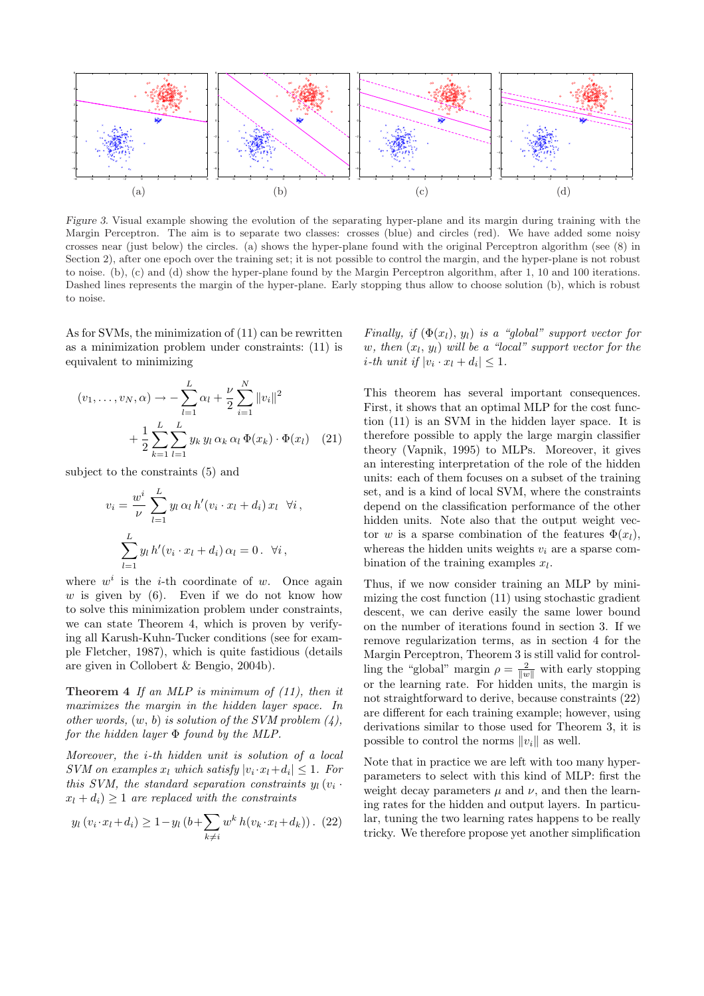

Figure 3. Visual example showing the evolution of the separating hyper-plane and its margin during training with the Margin Perceptron. The aim is to separate two classes: crosses (blue) and circles (red). We have added some noisy crosses near (just below) the circles. (a) shows the hyper-plane found with the original Perceptron algorithm (see (8) in Section 2), after one epoch over the training set; it is not possible to control the margin, and the hyper-plane is not robust to noise. (b), (c) and (d) show the hyper-plane found by the Margin Perceptron algorithm, after 1, 10 and 100 iterations. Dashed lines represents the margin of the hyper-plane. Early stopping thus allow to choose solution (b), which is robust to noise.

As for SVMs, the minimization of (11) can be rewritten as a minimization problem under constraints: (11) is equivalent to minimizing

$$
(v_1, ..., v_N, \alpha) \to -\sum_{l=1}^{L} \alpha_l + \frac{\nu}{2} \sum_{i=1}^{N} ||v_i||^2
$$
  
+ 
$$
\frac{1}{2} \sum_{k=1}^{L} \sum_{l=1}^{L} y_k y_l \alpha_k \alpha_l \Phi(x_k) \cdot \Phi(x_l)
$$
 (21)

subject to the constraints (5) and

$$
v_i = \frac{w^i}{\nu} \sum_{l=1}^{L} y_l \alpha_l h'(v_i \cdot x_l + d_i) x_l \quad \forall i,
$$
  

$$
\sum_{l=1}^{L} y_l h'(v_i \cdot x_l + d_i) \alpha_l = 0. \quad \forall i,
$$

where  $w^i$  is the *i*-th coordinate of w. Once again  $w$  is given by  $(6)$ . Even if we do not know how to solve this minimization problem under constraints, we can state Theorem 4, which is proven by verifying all Karush-Kuhn-Tucker conditions (see for example Fletcher, 1987), which is quite fastidious (details are given in Collobert & Bengio, 2004b).

**Theorem 4** If an MLP is minimum of  $(11)$ , then it maximizes the margin in the hidden layer space. In other words,  $(w, b)$  is solution of the SVM problem  $(4)$ , for the hidden layer  $\Phi$  found by the MLP.

Moreover, the i-th hidden unit is solution of a local SVM on examples  $x_l$  which satisfy  $|v_i \cdot x_l + d_i| \leq 1$ . For this SVM, the standard separation constraints  $y_l$  ( $v_i$ .  $x_l + d_i \geq 1$  are replaced with the constraints

$$
y_{l}(v_{i} \cdot x_{l} + d_{i}) \ge 1 - y_{l}(b + \sum_{k \ne i} w^{k} h(v_{k} \cdot x_{l} + d_{k})). (22)
$$

Finally, if  $(\Phi(x_l), y_l)$  is a "global" support vector for  $w$ , then  $(x_l, y_l)$  will be a "local" support vector for the *i*-th unit if  $|v_i \cdot x_l + d_i| \leq 1$ .

This theorem has several important consequences. First, it shows that an optimal MLP for the cost function (11) is an SVM in the hidden layer space. It is therefore possible to apply the large margin classifier theory (Vapnik, 1995) to MLPs. Moreover, it gives an interesting interpretation of the role of the hidden units: each of them focuses on a subset of the training set, and is a kind of local SVM, where the constraints depend on the classification performance of the other hidden units. Note also that the output weight vector w is a sparse combination of the features  $\Phi(x_l)$ , whereas the hidden units weights  $v_i$  are a sparse combination of the training examples  $x_l$ .

Thus, if we now consider training an MLP by minimizing the cost function (11) using stochastic gradient descent, we can derive easily the same lower bound on the number of iterations found in section 3. If we remove regularization terms, as in section 4 for the Margin Perceptron, Theorem 3 is still valid for controlling the "global" margin  $\rho = \frac{2}{\|w\|}$  with early stopping or the learning rate. For hidden units, the margin is not straightforward to derive, because constraints (22) are different for each training example; however, using derivations similar to those used for Theorem 3, it is possible to control the norms  $||v_i||$  as well.

Note that in practice we are left with too many hyperparameters to select with this kind of MLP: first the weight decay parameters  $\mu$  and  $\nu$ , and then the learning rates for the hidden and output layers. In particular, tuning the two learning rates happens to be really tricky. We therefore propose yet another simplification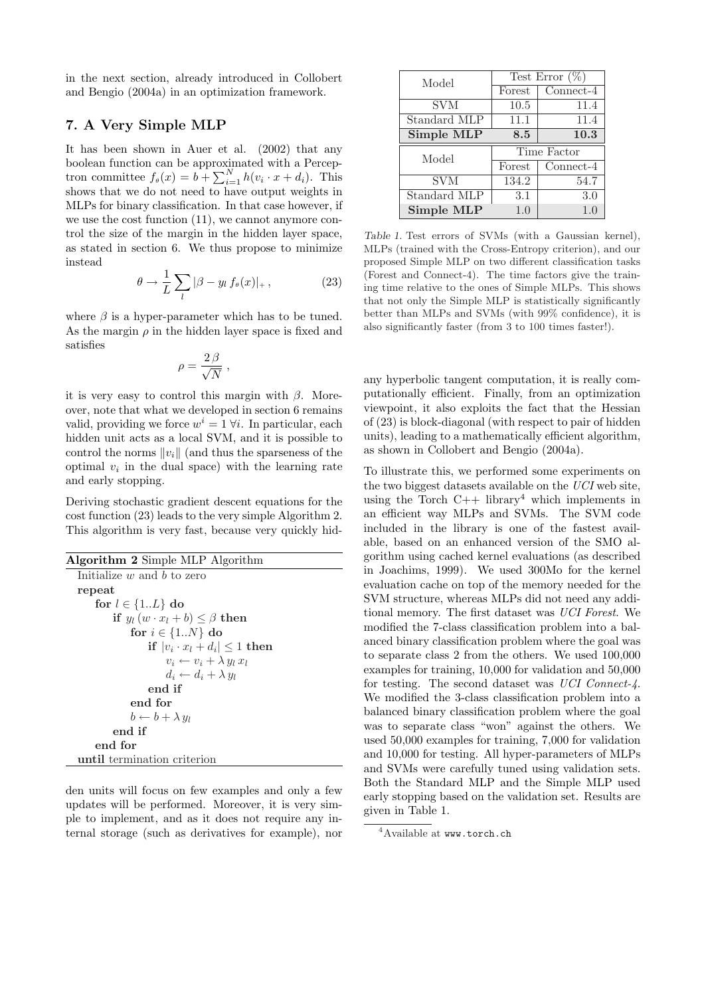in the next section, already introduced in Collobert and Bengio (2004a) in an optimization framework.

## 7. A Very Simple MLP

It has been shown in Auer et al. (2002) that any boolean function can be approximated with a Percepboolean function can be approximated with a Perceptron committee  $f_{\theta}(x) = b + \sum_{i=1}^{N} h(v_i \cdot x + d_i)$ . This shows that we do not need to have output weights in MLPs for binary classification. In that case however, if we use the cost function (11), we cannot anymore control the size of the margin in the hidden layer space, as stated in section 6. We thus propose to minimize instead

$$
\theta \to \frac{1}{L} \sum_{l} |\beta - y_l f_{\theta}(x)|_{+}, \qquad (23)
$$

where  $\beta$  is a hyper-parameter which has to be tuned. As the margin  $\rho$  in the hidden layer space is fixed and satisfies

$$
\rho = \frac{2\,\beta}{\sqrt{N}}\;,
$$

it is very easy to control this margin with  $\beta$ . Moreover, note that what we developed in section 6 remains valid, providing we force  $w^i = 1 \ \forall i$ . In particular, each hidden unit acts as a local SVM, and it is possible to control the norms  $||v_i||$  (and thus the sparseness of the optimal  $v_i$  in the dual space) with the learning rate and early stopping.

Deriving stochastic gradient descent equations for the cost function (23) leads to the very simple Algorithm 2. This algorithm is very fast, because very quickly hid-

| <b>Algorithm 2</b> Simple MLP Algorithm   |
|-------------------------------------------|
| Initialize $w$ and $b$ to zero            |
| repeat                                    |
| for $l \in \{1L\}$ do                     |
| if $y_l(w \cdot x_l + b) \leq \beta$ then |
| for $i \in \{1N\}$ do                     |
| if $ v_i \cdot x_l + d_i  \leq 1$ then    |
| $v_i \leftarrow v_i + \lambda y_l x_l$    |
| $d_i \leftarrow d_i + \lambda y_i$        |
| end if                                    |
| end for                                   |
| $b \leftarrow b + \lambda y_l$            |
| end if                                    |
| end for                                   |
| until termination criterion               |

den units will focus on few examples and only a few updates will be performed. Moreover, it is very simple to implement, and as it does not require any internal storage (such as derivatives for example), nor

| Model        | Test Error $(\%)$ |             |
|--------------|-------------------|-------------|
|              | Forest            | $Connect-4$ |
| <b>SVM</b>   | 10.5              | 11.4        |
| Standard MLP | 11.1              | 11.4        |
| Simple MLP   | 8.5               | 10.3        |
|              |                   |             |
|              |                   | Time Factor |
| Model        | Forest            | $Connect-4$ |
| <b>SVM</b>   | 134.2             | 54.7        |
| Standard MLP | 3.1               | 3.0         |

Table 1. Test errors of SVMs (with a Gaussian kernel), MLPs (trained with the Cross-Entropy criterion), and our proposed Simple MLP on two different classification tasks (Forest and Connect-4). The time factors give the training time relative to the ones of Simple MLPs. This shows that not only the Simple MLP is statistically significantly better than MLPs and SVMs (with 99% confidence), it is also significantly faster (from 3 to 100 times faster!).

any hyperbolic tangent computation, it is really computationally efficient. Finally, from an optimization viewpoint, it also exploits the fact that the Hessian of (23) is block-diagonal (with respect to pair of hidden units), leading to a mathematically efficient algorithm, as shown in Collobert and Bengio (2004a).

To illustrate this, we performed some experiments on the two biggest datasets available on the UCI web site, using the Torch  $C_{++}$  library<sup>4</sup> which implements in an efficient way MLPs and SVMs. The SVM code included in the library is one of the fastest available, based on an enhanced version of the SMO algorithm using cached kernel evaluations (as described in Joachims, 1999). We used 300Mo for the kernel evaluation cache on top of the memory needed for the SVM structure, whereas MLPs did not need any additional memory. The first dataset was UCI Forest. We modified the 7-class classification problem into a balanced binary classification problem where the goal was to separate class 2 from the others. We used 100,000 examples for training, 10,000 for validation and 50,000 for testing. The second dataset was UCI Connect-4. We modified the 3-class classification problem into a balanced binary classification problem where the goal was to separate class "won" against the others. We used 50,000 examples for training, 7,000 for validation and 10,000 for testing. All hyper-parameters of MLPs and SVMs were carefully tuned using validation sets. Both the Standard MLP and the Simple MLP used early stopping based on the validation set. Results are given in Table 1.

<sup>4</sup>Available at www.torch.ch